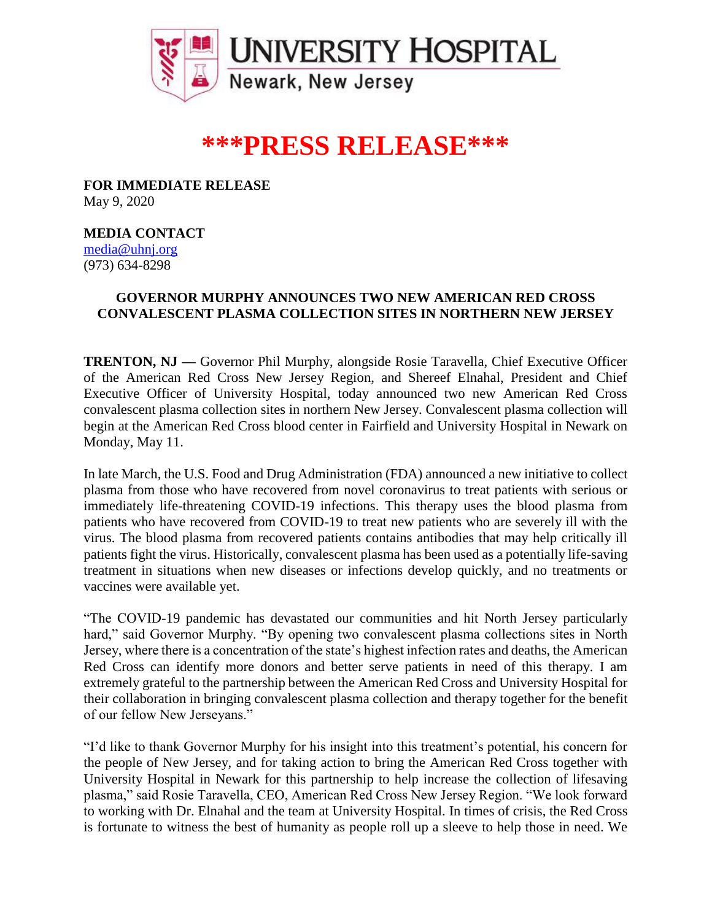

## **\*\*\*PRESS RELEASE\*\*\***

**FOR IMMEDIATE RELEASE** May 9, 2020

**MEDIA CONTACT**

[media@uhnj.org](mailto:media@uhnj.org)  (973) 634-8298

## **GOVERNOR MURPHY ANNOUNCES TWO NEW AMERICAN RED CROSS CONVALESCENT PLASMA COLLECTION SITES IN NORTHERN NEW JERSEY**

**TRENTON, NJ —** Governor Phil Murphy, alongside Rosie Taravella, Chief Executive Officer of the American Red Cross New Jersey Region, and Shereef Elnahal, President and Chief Executive Officer of University Hospital, today announced two new American Red Cross convalescent plasma collection sites in northern New Jersey. Convalescent plasma collection will begin at the American Red Cross blood center in Fairfield and University Hospital in Newark on Monday, May 11.

In late March, the U.S. Food and Drug Administration (FDA) announced a new initiative to collect plasma from those who have recovered from novel coronavirus to treat patients with serious or immediately life-threatening COVID-19 infections. This therapy uses the blood plasma from patients who have recovered from COVID-19 to treat new patients who are severely ill with the virus. The blood plasma from recovered patients contains antibodies that may help critically ill patients fight the virus. Historically, convalescent plasma has been used as a potentially life-saving treatment in situations when new diseases or infections develop quickly, and no treatments or vaccines were available yet.

"The COVID-19 pandemic has devastated our communities and hit North Jersey particularly hard," said Governor Murphy. "By opening two convalescent plasma collections sites in North Jersey, where there is a concentration of the state's highest infection rates and deaths, the American Red Cross can identify more donors and better serve patients in need of this therapy. I am extremely grateful to the partnership between the American Red Cross and University Hospital for their collaboration in bringing convalescent plasma collection and therapy together for the benefit of our fellow New Jerseyans."

"I'd like to thank Governor Murphy for his insight into this treatment's potential, his concern for the people of New Jersey, and for taking action to bring the American Red Cross together with University Hospital in Newark for this partnership to help increase the collection of lifesaving plasma," said Rosie Taravella, CEO, American Red Cross New Jersey Region. "We look forward to working with Dr. Elnahal and the team at University Hospital. In times of crisis, the Red Cross is fortunate to witness the best of humanity as people roll up a sleeve to help those in need. We